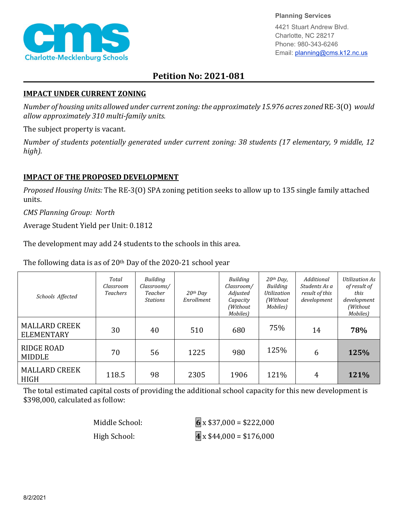

#### **Planning Services**

4421 Stuart Andrew Blvd. Charlotte, NC 28217 Phone: 980-343-6246 Email: planning@cms.k12.nc.us

# **Petition No: 2021-081**

### **IMPACT UNDER CURRENT ZONING**

*Number of housing units allowed under current zoning: the approximately 15.976 acres zoned* RE-3(O) *would allow approximately 310 multi-family units.*

The subject property is vacant.

*Number of students potentially generated under current zoning: 38 students (17 elementary, 9 middle, 12 high).*

## **IMPACT OF THE PROPOSED DEVELOPMENT**

*Proposed Housing Units:* The RE-3(O) SPA zoning petition seeks to allow up to 135 single family attached units.

*CMS Planning Group: North* 

Average Student Yield per Unit: 0.1812

The development may add 24 students to the schools in this area.

The following data is as of 20th Day of the 2020-21 school year

| Schools Affected                          | Total<br>Classroom<br><b>Teachers</b> | Building<br>Classrooms/<br>Teacher<br><b>Stations</b> | $20th$ Day<br>Enrollment | Building<br>Classroom/<br>Adjusted<br>Capacity<br>(Without<br>Mobiles) | $20th$ Day,<br><b>Building</b><br><b>Utilization</b><br>(Without)<br>Mobiles) | Additional<br>Students As a<br>result of this<br>development | Utilization As<br>of result of<br>this<br>development<br>(Without<br>Mobiles) |
|-------------------------------------------|---------------------------------------|-------------------------------------------------------|--------------------------|------------------------------------------------------------------------|-------------------------------------------------------------------------------|--------------------------------------------------------------|-------------------------------------------------------------------------------|
| <b>MALLARD CREEK</b><br><b>ELEMENTARY</b> | 30                                    | 40                                                    | 510                      | 680                                                                    | 75%                                                                           | 14                                                           | 78%                                                                           |
| RIDGE ROAD<br><b>MIDDLE</b>               | 70                                    | 56                                                    | 1225                     | 980                                                                    | 125%                                                                          | 6                                                            | 125%                                                                          |
| <b>MALLARD CREEK</b><br><b>HIGH</b>       | 118.5                                 | 98                                                    | 2305                     | 1906                                                                   | 121%                                                                          | 4                                                            | 121%                                                                          |

The total estimated capital costs of providing the additional school capacity for this new development is \$398,000, calculated as follow:

| Middle School: | $6 \times $37,000 = $222,000$         |
|----------------|---------------------------------------|
| High School:   | $\overline{4}$ x \$44,000 = \$176,000 |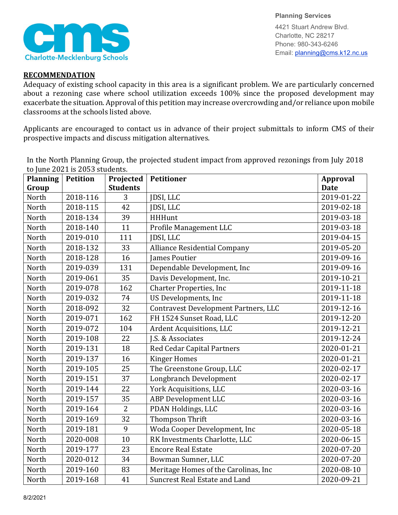

**Planning Services** 4421 Stuart Andrew Blvd. Charlotte, NC 28217 Phone: 980-343-6246 Email: planning@cms.k12.nc.us

### **RECOMMENDATION**

Adequacy of existing school capacity in this area is a significant problem. We are particularly concerned about a rezoning case where school utilization exceeds 100% since the proposed development may exacerbate the situation. Approval of this petition may increase overcrowding and/or reliance upon mobile classrooms at the schools listed above.

Applicants are encouraged to contact us in advance of their project submittals to inform CMS of their prospective impacts and discuss mitigation alternatives.

| <b>Planning</b> | $\omega$ june 2021 is 2000 statemes.<br><b>Petition</b> | Projected       | <b>Petitioner</b>                    | <b>Approval</b> |
|-----------------|---------------------------------------------------------|-----------------|--------------------------------------|-----------------|
| Group           |                                                         | <b>Students</b> |                                      | <b>Date</b>     |
| North           | 2018-116                                                | 3               | JDSI, LLC                            | 2019-01-22      |
| North           | 2018-115                                                | 42              | JDSI, LLC                            | 2019-02-18      |
| North           | 2018-134                                                | 39              | <b>HHHunt</b>                        | 2019-03-18      |
| North           | 2018-140                                                | 11              | Profile Management LLC               | 2019-03-18      |
| North           | 2019-010                                                | 111             | JDSI, LLC                            | 2019-04-15      |
| North           | 2018-132                                                | 33              | <b>Alliance Residential Company</b>  | 2019-05-20      |
| North           | 2018-128                                                | 16              | <b>James Poutier</b>                 | 2019-09-16      |
| North           | 2019-039                                                | 131             | Dependable Development, Inc          | 2019-09-16      |
| North           | 2019-061                                                | 35              | Davis Development, Inc.              | 2019-10-21      |
| North           | 2019-078                                                | 162             | <b>Charter Properties, Inc</b>       | 2019-11-18      |
| North           | 2019-032                                                | 74              | US Developments, Inc                 | 2019-11-18      |
| North           | 2018-092                                                | 32              | Contravest Development Partners, LLC | 2019-12-16      |
| North           | 2019-071                                                | 162             | FH 1524 Sunset Road, LLC             | 2019-12-20      |
| North           | 2019-072                                                | 104             | Ardent Acquisitions, LLC             | 2019-12-21      |
| North           | 2019-108                                                | 22              | J.S. & Associates                    | 2019-12-24      |
| North           | 2019-131                                                | 18              | <b>Red Cedar Capital Partners</b>    | 2020-01-21      |
| North           | 2019-137                                                | 16              | <b>Kinger Homes</b>                  | 2020-01-21      |
| North           | 2019-105                                                | 25              | The Greenstone Group, LLC            | 2020-02-17      |
| North           | 2019-151                                                | 37              | Longbranch Development               | 2020-02-17      |
| North           | 2019-144                                                | 22              | York Acquisitions, LLC               | 2020-03-16      |
| North           | 2019-157                                                | 35              | <b>ABP Development LLC</b>           | 2020-03-16      |
| North           | 2019-164                                                | $\overline{2}$  | PDAN Holdings, LLC                   | 2020-03-16      |
| North           | 2019-169                                                | 32              | <b>Thompson Thrift</b>               | 2020-03-16      |
| North           | 2019-181                                                | 9               | Woda Cooper Development, Inc         | 2020-05-18      |
| North           | 2020-008                                                | 10              | RK Investments Charlotte, LLC        | 2020-06-15      |
| North           | 2019-177                                                | 23              | <b>Encore Real Estate</b>            | 2020-07-20      |
| North           | 2020-012                                                | 34              | Bowman Sumner, LLC                   | 2020-07-20      |
| North           | 2019-160                                                | 83              | Meritage Homes of the Carolinas, Inc | 2020-08-10      |
| North           | 2019-168                                                | 41              | <b>Suncrest Real Estate and Land</b> | 2020-09-21      |

In the North Planning Group, the projected student impact from approved rezonings from July 2018 to June 2021 is 2053 students.